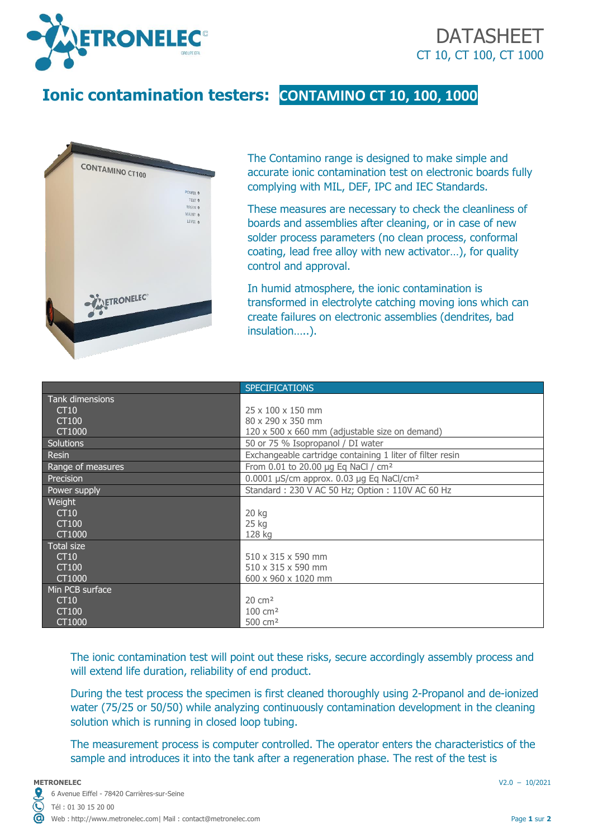



## **Ionic contamination testers: CONTAMINO CT 10, 100, 1000**



The Contamino range is designed to make simple and accurate ionic contamination test on electronic boards fully complying with MIL, DEF, IPC and IEC Standards.

These measures are necessary to check the cleanliness of boards and assemblies after cleaning, or in case of new solder process parameters (no clean process, conformal coating, lead free alloy with new activator…), for quality control and approval.

In humid atmosphere, the ionic contamination is transformed in electrolyte catching moving ions which can create failures on electronic assemblies (dendrites, bad insulation…..).

|                   | <b>SPECIFICATIONS</b>                                     |
|-------------------|-----------------------------------------------------------|
| Tank dimensions   |                                                           |
| CT10              | $25 \times 100 \times 150$ mm                             |
| CT100             | 80 x 290 x 350 mm                                         |
| CT1000            | 120 x 500 x 660 mm (adjustable size on demand)            |
| Solutions         | 50 or 75 % Isopropanol / DI water                         |
| Resin             | Exchangeable cartridge containing 1 liter of filter resin |
| Range of measures | From 0.01 to 20.00 µg Eq NaCl / cm <sup>2</sup>           |
| Precision         | 0.0001 µS/cm approx. 0.03 µg Eq NaCl/cm <sup>2</sup>      |
| Power supply      | Standard: 230 V AC 50 Hz; Option: 110V AC 60 Hz           |
| Weight            |                                                           |
| CT10              | 20 kg                                                     |
| CT100             | $25$ kg                                                   |
| CT1000            | 128 kg                                                    |
| <b>Total size</b> |                                                           |
| CT10              | $510 \times 315 \times 590$ mm                            |
| CT100             | 510 x 315 x 590 mm                                        |
| CT1000            | 600 x 960 x 1020 mm                                       |
| Min PCB surface   |                                                           |
| CT10              | $20 \text{ cm}^2$                                         |
| CT100             | $100 \, \text{cm}^2$                                      |
| CT1000            | 500 cm <sup>2</sup>                                       |

The ionic contamination test will point out these risks, secure accordingly assembly process and will extend life duration, reliability of end product.

During the test process the specimen is first cleaned thoroughly using 2-Propanol and de-ionized water (75/25 or 50/50) while analyzing continuously contamination development in the cleaning solution which is running in closed loop tubing.

The measurement process is computer controlled. The operator enters the characteristics of the sample and introduces it into the tank after a regeneration phase. The rest of the test is

 $\mathbf{\mathbb{C}}$